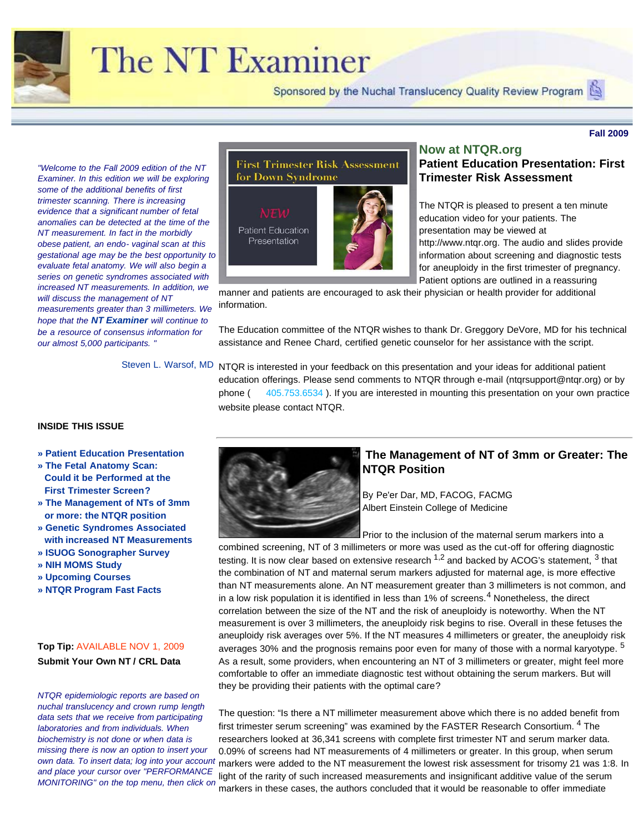

# The NT Examiner

Sponsored by the Nuchal Translucency Quality Review Program

**Fall 2009**

<span id="page-0-0"></span>*"Welcome to the Fall 2009 edition of the NT Examiner. In this edition we will be exploring some of the additional benefits of first trimester scanning. There is increasing evidence that a significant number of fetal anomalies can be detected at the time of the NT measurement. In fact in the morbidly obese patient, an endo- vaginal scan at this gestational age may be the best opportunity to evaluate fetal anatomy. We will also begin a series on genetic syndromes associated with increased NT measurements. In addition, we will discuss the management of NT measurements greater than 3 millimeters. We hope that the NT Examiner will continue to be a resource of consensus information for our almost 5,000 participants. "*

Steven L. Warsof, MD

## **First Trimester Risk Assessment** for Down Syndrome

**Patient Education** Presentation

## **Now at NTQR.org Patient Education Presentation: First Trimester Risk Assessment**

The NTQR is pleased to present a ten minute education video for your patients. The presentation may be viewed at http://www.ntqr.org. The audio and slides provide information about screening and diagnostic tests for aneuploidy in the first trimester of pregnancy. Patient options are outlined in a reassuring

manner and patients are encouraged to ask their physician or health provider for additional information.

The Education committee of the NTQR wishes to thank Dr. Greggory DeVore, MD for his technical assistance and Renee Chard, certified genetic counselor for her assistance with the script.

NTQR is interested in your feedback on this presentation and your ideas for additional patient education offerings. Please send comments to NTQR through e-mail (ntqrsupport@ntqr.org) or by phone (405.753.6534). If you are interested in mounting this presentation on your own practice website please contact NTQR.

#### **INSIDE THIS ISSUE**

- <span id="page-0-1"></span>**» [Patient Education Presentation](#page-0-0)**
- **» [The Fetal Anatomy Scan:](#page-0-1) [Could it be Performed at the](#page-0-1) [First Trimester Screen?](#page-0-1)**
- **[»](#page-0-1) [The Management of NTs of 3mm](#page-1-0) [or more: the NTQR position](#page-1-0)**
- **» [Genetic Syndromes Associated](#page-3-0) [with increased NT Measurements](#page-1-0)**
- **» [ISUOG Sonographer Survey](#page-6-0)**
- **» [NIH MOMS Study](#page-6-1)**
- **» [Upcoming Courses](#page-7-0)**
- **» [NTQR Program Fast Facts](file:///C|/MyStuff/MyFiles/MyProjs/MFMF/Newsletters/The%20(NT)%20Examiner/Issue%20No.%207/Nuchal%20Translucency%20Review%20Program-%20NT%20Examiner%20Issue%20No.%207.html#topic8)**

## **Top Tip:** AVAILABLE NOV 1, 2009 **Submit Your Own NT / CRL Data**

*NTQR epidemiologic reports are based on nuchal translucency and crown rump length data sets that we receive from participating laboratories and from individuals. When biochemistry is not done or when data is missing there is now an option to insert your own data. To insert data; log into your account and place your cursor over "PERFORMANCE MONITORING" on the top menu, then click on*



## **The Management of NT of 3mm or Greater: The NTQR Position**

By Pe'er Dar, MD, FACOG, FACMG Albert Einstein College of Medicine

Prior to the inclusion of the maternal serum markers into a combined screening, NT of 3 millimeters or more was used as the cut-off for offering diagnostic testing. It is now clear based on extensive research  $1,2$  and backed by ACOG's statement,  $3$  that the combination of NT and maternal serum markers adjusted for maternal age, is more effective than NT measurements alone. An NT measurement greater than 3 millimeters is not common, and in a low risk population it is identified in less than 1% of screens.<sup>4</sup> Nonetheless, the direct correlation between the size of the NT and the risk of aneuploidy is noteworthy. When the NT measurement is over 3 millimeters, the aneuploidy risk begins to rise. Overall in these fetuses the aneuploidy risk averages over 5%. If the NT measures 4 millimeters or greater, the aneuploidy risk averages 30% and the prognosis remains poor even for many of those with a normal karyotype. <sup>5</sup> As a result, some providers, when encountering an NT of 3 millimeters or greater, might feel more comfortable to offer an immediate diagnostic test without obtaining the serum markers. But will they be providing their patients with the optimal care?

The question: "Is there a NT millimeter measurement above which there is no added benefit from first trimester serum screening" was examined by the FASTER Research Consortium. <sup>4</sup> The researchers looked at 36,341 screens with complete first trimester NT and serum marker data. 0.09% of screens had NT measurements of 4 millimeters or greater. In this group, when serum markers were added to the NT measurement the lowest risk assessment for trisomy 21 was 1:8. In light of the rarity of such increased measurements and insignificant additive value of the serum markers in these cases, the authors concluded that it would be reasonable to offer immediate

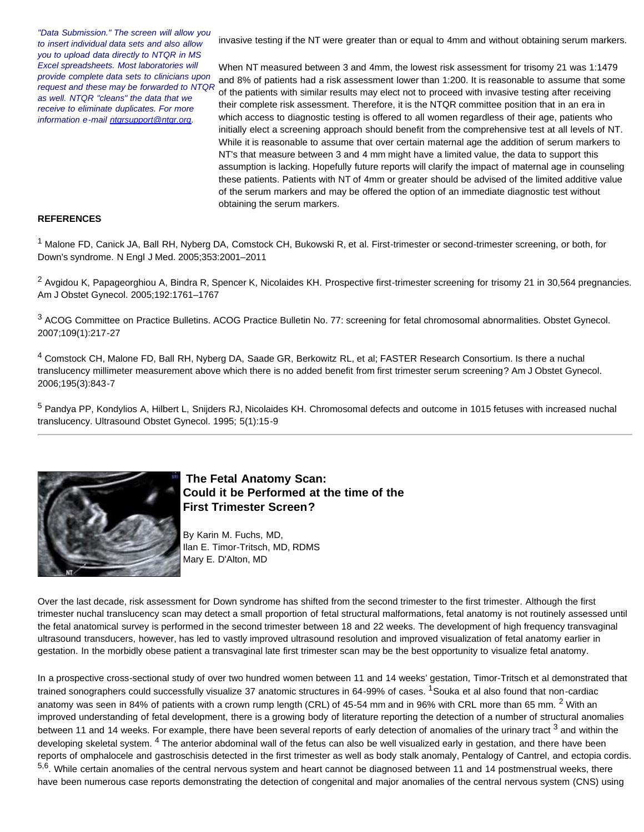*"Data Submission." The screen will allow you to insert individual data sets and also allow you to upload data directly to NTQR in MS Excel spreadsheets. Most laboratories will provide complete data sets to clinicians upon request and these may be forwarded to NTQR as well. NTQR "cleans" the data that we receive to eliminate duplicates. For more information e-mail [ntqrsupport@ntqr.org.](mailto:ntqrsupport@ntqr.org)*

invasive testing if the NT were greater than or equal to 4mm and without obtaining serum markers.

When NT measured between 3 and 4mm, the lowest risk assessment for trisomy 21 was 1:1479 and 8% of patients had a risk assessment lower than 1:200. It is reasonable to assume that some of the patients with similar results may elect not to proceed with invasive testing after receiving their complete risk assessment. Therefore, it is the NTQR committee position that in an era in which access to diagnostic testing is offered to all women regardless of their age, patients who initially elect a screening approach should benefit from the comprehensive test at all levels of NT. While it is reasonable to assume that over certain maternal age the addition of serum markers to NT's that measure between 3 and 4 mm might have a limited value, the data to support this assumption is lacking. Hopefully future reports will clarify the impact of maternal age in counseling these patients. Patients with NT of 4mm or greater should be advised of the limited additive value of the serum markers and may be offered the option of an immediate diagnostic test without obtaining the serum markers.

#### **REFERENCES**

1 Malone FD, Canick JA, Ball RH, Nyberg DA, Comstock CH, Bukowski R, et al. First-trimester or second-trimester screening, or both, for Down's syndrome. N Engl J Med. 2005;353:2001–2011

<sup>2</sup> Avgidou K, Papageorghiou A, Bindra R, Spencer K, Nicolaides KH. Prospective first-trimester screening for trisomy 21 in 30,564 pregnancies. Am J Obstet Gynecol. 2005;192:1761–1767

<sup>3</sup> ACOG Committee on Practice Bulletins. ACOG Practice Bulletin No. 77: screening for fetal chromosomal abnormalities. Obstet Gynecol. 2007;109(1):217-27

4 Comstock CH, Malone FD, Ball RH, Nyberg DA, Saade GR, Berkowitz RL, et al; FASTER Research Consortium. Is there a nuchal translucency millimeter measurement above which there is no added benefit from first trimester serum screening? Am J Obstet Gynecol. 2006;195(3):843-7

5 Pandya PP, Kondylios A, Hilbert L, Snijders RJ, Nicolaides KH. Chromosomal defects and outcome in 1015 fetuses with increased nuchal translucency. Ultrasound Obstet Gynecol. 1995; 5(1):15-9

<span id="page-1-0"></span>

## **The Fetal Anatomy Scan: Could it be Performed at the time of the First Trimester Screen?**

By Karin M. Fuchs, MD, Ilan E. Timor-Tritsch, MD, RDMS Mary E. D'Alton, MD

Over the last decade, risk assessment for Down syndrome has shifted from the second trimester to the first trimester. Although the first trimester nuchal translucency scan may detect a small proportion of fetal structural malformations, fetal anatomy is not routinely assessed until the fetal anatomical survey is performed in the second trimester between 18 and 22 weeks. The development of high frequency transvaginal ultrasound transducers, however, has led to vastly improved ultrasound resolution and improved visualization of fetal anatomy earlier in gestation. In the morbidly obese patient a transvaginal late first trimester scan may be the best opportunity to visualize fetal anatomy.

In a prospective cross-sectional study of over two hundred women between 11 and 14 weeks' gestation, Timor-Tritsch et al demonstrated that trained sonographers could successfully visualize 37 anatomic structures in 64-99% of cases. <sup>1</sup> Souka et al also found that non-cardiac anatomy was seen in 84% of patients with a crown rump length (CRL) of 45-54 mm and in 96% with CRL more than 65 mm. <sup>2</sup> With an improved understanding of fetal development, there is a growing body of literature reporting the detection of a number of structural anomalies between 11 and 14 weeks. For example, there have been several reports of early detection of anomalies of the urinary tract <sup>3</sup> and within the developing skeletal system. <sup>4</sup> The anterior abdominal wall of the fetus can also be well visualized early in gestation, and there have been reports of omphalocele and gastroschisis detected in the first trimester as well as body stalk anomaly, Pentalogy of Cantrel, and ectopia cordis. 5,6. While certain anomalies of the central nervous system and heart cannot be diagnosed between 11 and 14 postmenstrual weeks, there have been numerous case reports demonstrating the detection of congenital and major anomalies of the central nervous system (CNS) using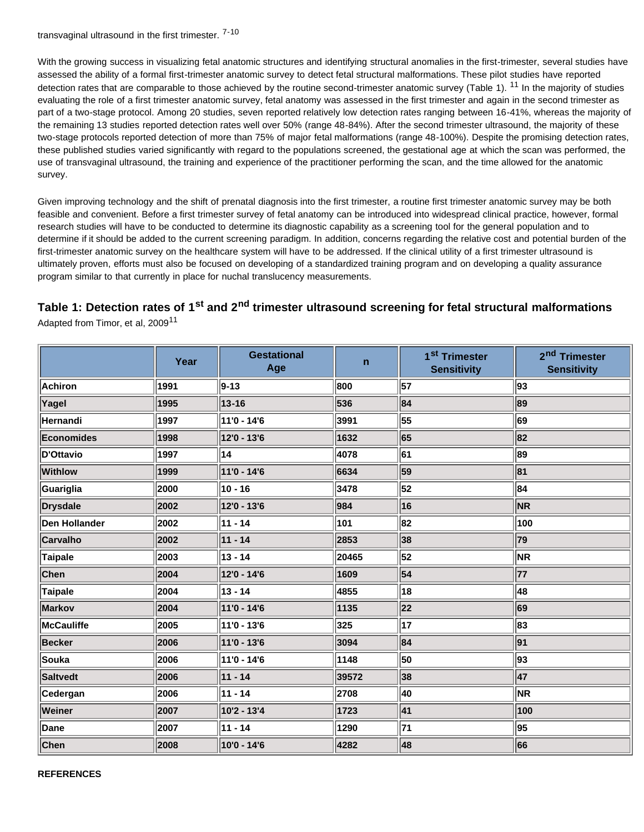transvaginal ultrasound in the first trimester. 7-10

With the growing success in visualizing fetal anatomic structures and identifying structural anomalies in the first-trimester, several studies have assessed the ability of a formal first-trimester anatomic survey to detect fetal structural malformations. These pilot studies have reported detection rates that are comparable to those achieved by the routine second-trimester anatomic survey (Table 1). <sup>11</sup> In the majority of studies evaluating the role of a first trimester anatomic survey, fetal anatomy was assessed in the first trimester and again in the second trimester as part of a two-stage protocol. Among 20 studies, seven reported relatively low detection rates ranging between 16-41%, whereas the majority of the remaining 13 studies reported detection rates well over 50% (range 48-84%). After the second trimester ultrasound, the majority of these two-stage protocols reported detection of more than 75% of major fetal malformations (range 48-100%). Despite the promising detection rates, these published studies varied significantly with regard to the populations screened, the gestational age at which the scan was performed, the use of transvaginal ultrasound, the training and experience of the practitioner performing the scan, and the time allowed for the anatomic survey.

Given improving technology and the shift of prenatal diagnosis into the first trimester, a routine first trimester anatomic survey may be both feasible and convenient. Before a first trimester survey of fetal anatomy can be introduced into widespread clinical practice, however, formal research studies will have to be conducted to determine its diagnostic capability as a screening tool for the general population and to determine if it should be added to the current screening paradigm. In addition, concerns regarding the relative cost and potential burden of the first-trimester anatomic survey on the healthcare system will have to be addressed. If the clinical utility of a first trimester ultrasound is ultimately proven, efforts must also be focused on developing of a standardized training program and on developing a quality assurance program similar to that currently in place for nuchal translucency measurements.

## **Table 1: Detection rates of 1st and 2nd trimester ultrasound screening for fetal structural malformations**

Adapted from Timor, et al. 2009<sup>11</sup>

|                 | Year | <b>Gestational</b><br>Age | $\mathsf{n}$ | 1 <sup>st</sup> Trimester<br><b>Sensitivity</b> | 2 <sup>nd</sup> Trimester<br><b>Sensitivity</b> |
|-----------------|------|---------------------------|--------------|-------------------------------------------------|-------------------------------------------------|
| Achiron         | 1991 | $ 9 - 13 $                | 800          | 57                                              | 93                                              |
| Yagel           | 1995 | $13 - 16$                 | 536          | 84                                              | 89                                              |
| Hernandi        | 1997 | 11'0 - 14'6               | 3991         | 55                                              | 69                                              |
| Economides      | 1998 | 12'0 - 13'6               | 1632         | 65                                              | 82                                              |
| D'Ottavio       | 1997 | 14                        | 4078         | 61                                              | 89                                              |
| <b>Withlow</b>  | 1999 | 11'0 - 14'6               | 6634         | 59                                              | 81                                              |
| Guariglia       | 2000 | $ 10 - 16$                | 3478         | 52                                              | 84                                              |
| <b>Drysdale</b> | 2002 | 12'0 - 13'6               | 984          | 16                                              | <b>NR</b>                                       |
| Den Hollander   | 2002 | $ 11 - 14$                | 101          | 82                                              | 100                                             |
| <b>Carvalho</b> | 2002 | $ 11 - 14$                | 2853         | 38                                              | 79                                              |
| <b>Taipale</b>  | 2003 | $ 13 - 14$                | 20465        | 52                                              | <b>NR</b>                                       |
| <b>Chen</b>     | 2004 | 12'0 - 14'6               | 1609         | 54                                              | 77                                              |
| <b>Taipale</b>  | 2004 | $ 13 - 14$                | 4855         | 18                                              | 48                                              |
| Markov          | 2004 | 11'0 - 14'6               | 1135         | 22                                              | 69                                              |
| McCauliffe      | 2005 | 11'0 - 13'6               | 325          | 17                                              | 83                                              |
| <b>Becker</b>   | 2006 | 11'0 - 13'6               | 3094         | 84                                              | 91                                              |
| <b>Souka</b>    | 2006 | 11'0 - 14'6               | 1148         | 50                                              | 93                                              |
| <b>Saltvedt</b> | 2006 | $ 11 - 14$                | 39572        | 38                                              | 47                                              |
| Cedergan        | 2006 | $ 11 - 14$                | 2708         | 40                                              | <b>NR</b>                                       |
| Weiner          | 2007 | 10'2 - 13'4               | 1723         | 41                                              | 100                                             |
| Dane            | 2007 | $ 11 - 14$                | 1290         | 71                                              | 95                                              |
| Chen            | 2008 | 10'0 - 14'6               | 4282         | 48                                              | 66                                              |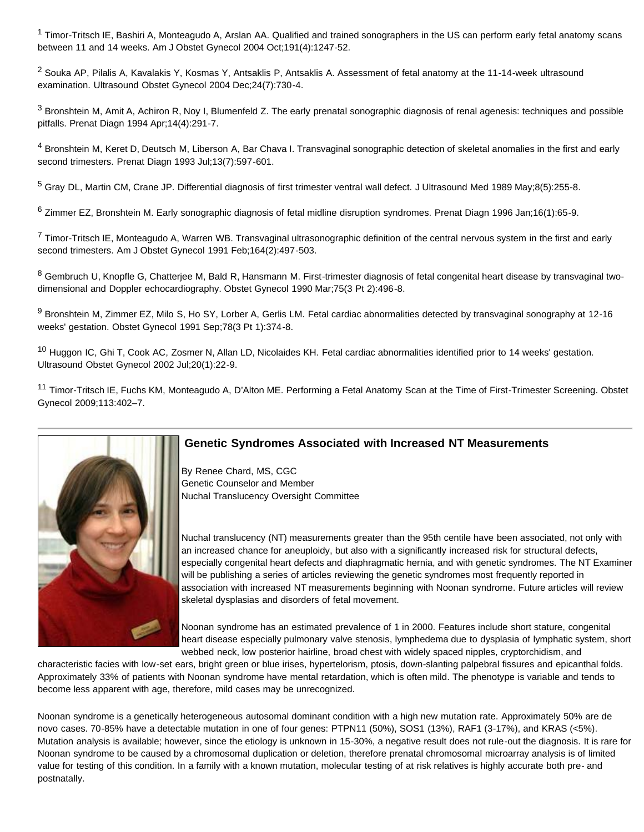<sup>1</sup> Timor-Tritsch IE, Bashiri A, Monteagudo A, Arslan AA. Qualified and trained sonographers in the US can perform early fetal anatomy scans between 11 and 14 weeks. Am J Obstet Gynecol 2004 Oct;191(4):1247-52.

 $2$  Souka AP, Pilalis A, Kavalakis Y, Kosmas Y, Antsaklis P, Antsaklis A. Assessment of fetal anatomy at the 11-14-week ultrasound examination. Ultrasound Obstet Gynecol 2004 Dec;24(7):730-4.

<sup>3</sup> Bronshtein M, Amit A, Achiron R, Noy I, Blumenfeld Z. The early prenatal sonographic diagnosis of renal agenesis: techniques and possible pitfalls. Prenat Diagn 1994 Apr;14(4):291-7.

4 Bronshtein M, Keret D, Deutsch M, Liberson A, Bar Chava I. Transvaginal sonographic detection of skeletal anomalies in the first and early second trimesters. Prenat Diagn 1993 Jul;13(7):597-601.

5 Gray DL, Martin CM, Crane JP. Differential diagnosis of first trimester ventral wall defect. J Ultrasound Med 1989 May;8(5):255-8.

6 Zimmer EZ, Bronshtein M. Early sonographic diagnosis of fetal midline disruption syndromes. Prenat Diagn 1996 Jan;16(1):65-9.

 $7$  Timor-Tritsch IE, Monteagudo A, Warren WB. Transvaginal ultrasonographic definition of the central nervous system in the first and early second trimesters. Am J Obstet Gynecol 1991 Feb;164(2):497-503.

8 Gembruch U, Knopfle G, Chatterjee M, Bald R, Hansmann M. First-trimester diagnosis of fetal congenital heart disease by transvaginal twodimensional and Doppler echocardiography. Obstet Gynecol 1990 Mar;75(3 Pt 2):496-8.

9 Bronshtein M, Zimmer EZ, Milo S, Ho SY, Lorber A, Gerlis LM. Fetal cardiac abnormalities detected by transvaginal sonography at 12-16 weeks' gestation. Obstet Gynecol 1991 Sep;78(3 Pt 1):374-8.

<sup>10</sup> Huggon IC, Ghi T, Cook AC, Zosmer N, Allan LD, Nicolaides KH. Fetal cardiac abnormalities identified prior to 14 weeks' gestation. Ultrasound Obstet Gynecol 2002 Jul;20(1):22-9.

<sup>11</sup> Timor-Tritsch IE, Fuchs KM, Monteagudo A, D'Alton ME. Performing a Fetal Anatomy Scan at the Time of First-Trimester Screening. Obstet Gynecol 2009;113:402–7.

<span id="page-3-0"></span>

## **Genetic Syndromes Associated with Increased NT Measurements**

By Renee Chard, MS, CGC Genetic Counselor and Member Nuchal Translucency Oversight Committee

Nuchal translucency (NT) measurements greater than the 95th centile have been associated, not only with an increased chance for aneuploidy, but also with a significantly increased risk for structural defects, especially congenital heart defects and diaphragmatic hernia, and with genetic syndromes. The NT Examiner will be publishing a series of articles reviewing the genetic syndromes most frequently reported in association with increased NT measurements beginning with Noonan syndrome. Future articles will review skeletal dysplasias and disorders of fetal movement.

Noonan syndrome has an estimated prevalence of 1 in 2000. Features include short stature, congenital heart disease especially pulmonary valve stenosis, lymphedema due to dysplasia of lymphatic system, short webbed neck, low posterior hairline, broad chest with widely spaced nipples, cryptorchidism, and

characteristic facies with low-set ears, bright green or blue irises, hypertelorism, ptosis, down-slanting palpebral fissures and epicanthal folds. Approximately 33% of patients with Noonan syndrome have mental retardation, which is often mild. The phenotype is variable and tends to become less apparent with age, therefore, mild cases may be unrecognized.

Noonan syndrome is a genetically heterogeneous autosomal dominant condition with a high new mutation rate. Approximately 50% are de novo cases. 70-85% have a detectable mutation in one of four genes: PTPN11 (50%), SOS1 (13%), RAF1 (3-17%), and KRAS (<5%). Mutation analysis is available; however, since the etiology is unknown in 15-30%, a negative result does not rule-out the diagnosis. It is rare for Noonan syndrome to be caused by a chromosomal duplication or deletion, therefore prenatal chromosomal microarray analysis is of limited value for testing of this condition. In a family with a known mutation, molecular testing of at risk relatives is highly accurate both pre- and postnatally.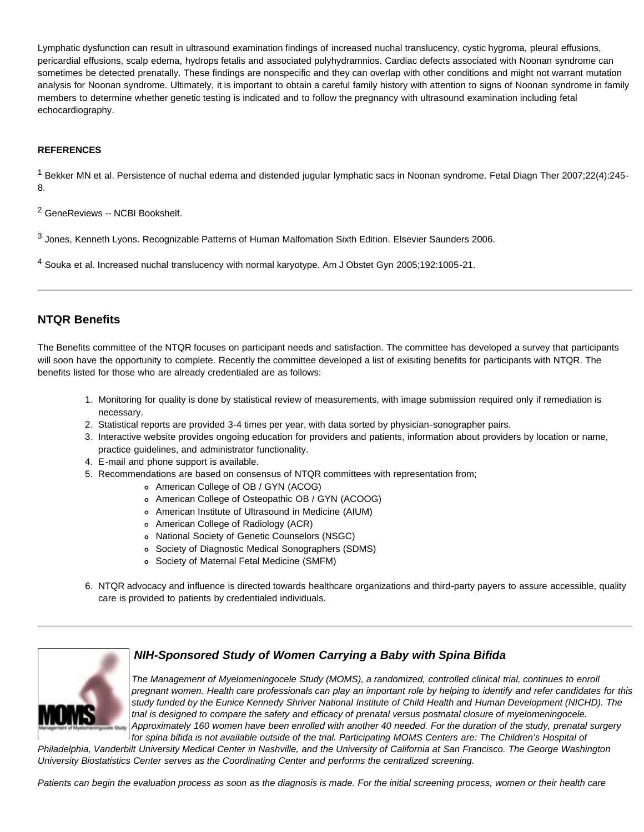Lymphatic dysfunction can result in ultrasound examination findings of increased nuchal translucency, cystic hygroma, pleural effusions, pericardial effusions, scalp edema, hydrops fetalis and associated polyhydramnios. Cardiac defects associated with Noonan syndrome can sometimes be detected prenatally. These findings are nonspecific and they can overlap with other conditions and might not warrant mutation analysis for Noonan syndrome. Ultimately, it is important to obtain a careful family history with attention to signs of Noonan syndrome in family members to determine whether genetic testing is indicated and to follow the pregnancy with ultrasound examination including fetal echocardiography.

#### **REFERENCES**

<sup>1</sup> Bekker MN et al. Persistence of nuchal edema and distended jugular lymphatic sacs in Noonan syndrome. Fetal Diagn Ther 2007;22(4):245-8.

2 GeneReviews -- NCBI Bookshelf.

3 Jones, Kenneth Lyons. Recognizable Patterns of Human Malfomation Sixth Edition. Elsevier Saunders 2006.

4 Souka et al. Increased nuchal translucency with normal karyotype. Am J Obstet Gyn 2005;192:1005-21.

## **NTQR Benefits**

The Benefits committee of the NTQR focuses on participant needs and satisfaction. The committee has developed a survey that participants will soon have the opportunity to complete. Recently the committee developed a list of exisiting benefits for participants with NTQR. The benefits listed for those who are already credentialed are as follows:

- 1. Monitoring for quality is done by statistical review of measurements, with image submission required only if remediation is necessary.
- 2. Statistical reports are provided 3-4 times per year, with data sorted by physician-sonographer pairs.
- 3. Interactive website provides ongoing education for providers and patients, information about providers by location or name, practice guidelines, and administrator functionality.
- 4. E-mail and phone support is available.
- 5. Recommendations are based on consensus of NTQR committees with representation from;
	- American College of OB / GYN (ACOG)
	- American College of Osteopathic OB / GYN (ACOOG)
	- American Institute of Ultrasound in Medicine (AIUM)
	- American College of Radiology (ACR)
	- National Society of Genetic Counselors (NSGC)
	- Society of Diagnostic Medical Sonographers (SDMS)
	- Society of Maternal Fetal Medicine (SMFM)
- 6. NTQR advocacy and influence is directed towards healthcare organizations and third-party payers to assure accessible, quality care is provided to patients by credentialed individuals.

## *NIH-Sponsored Study of Women Carrying a Baby with Spina Bifida*



*The Management of Myelomeningocele Study (MOMS), a randomized, controlled clinical trial, continues to enroll pregnant women. Health care professionals can play an important role by helping to identify and refer candidates for this study funded by the Eunice Kennedy Shriver National Institute of Child Health and Human Development (NICHD). The trial is designed to compare the safety and efficacy of prenatal versus postnatal closure of myelomeningocele. Approximately 160 women have been enrolled with another 40 needed. For the duration of the study, prenatal surgery for spina bifida is not available outside of the trial. Participating MOMS Centers are: The Children's Hospital of*

*Philadelphia, Vanderbilt University Medical Center in Nashville, and the University of California at San Francisco. The George Washington University Biostatistics Center serves as the Coordinating Center and performs the centralized screening.* 

*Patients can begin the evaluation process as soon as the diagnosis is made. For the initial screening process, women or their health care*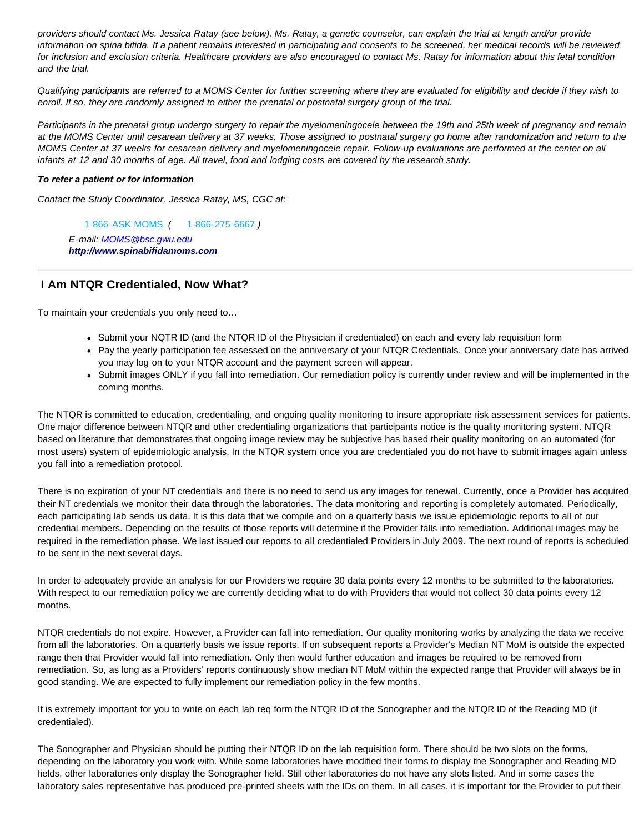*providers should contact Ms. Jessica Ratay (see below). Ms. Ratay, a genetic counselor, can explain the trial at length and/or provide information on spina bifida. If a patient remains interested in participating and consents to be screened, her medical records will be reviewed for inclusion and exclusion criteria. Healthcare providers are also encouraged to contact Ms. Ratay for information about this fetal condition and the trial.* 

*Qualifying participants are referred to a MOMS Center for further screening where they are evaluated for eligibility and decide if they wish to enroll. If so, they are randomly assigned to either the prenatal or postnatal surgery group of the trial.* 

*Participants in the prenatal group undergo surgery to repair the myelomeningocele between the 19th and 25th week of pregnancy and remain at the MOMS Center until cesarean delivery at 37 weeks. Those assigned to postnatal surgery go home after randomization and return to the MOMS Center at 37 weeks for cesarean delivery and myelomeningocele repair. Follow-up evaluations are performed at the center on all infants at 12 and 30 months of age. All travel, food and lodging costs are covered by the research study.*

#### *To refer a patient or for information*

*Contact the Study Coordinator, Jessica Ratay, MS, CGC at:*

1-866-ASK MOMS *(* 1-866-275-6667 *) E-mail: MOMS@bsc.gwu.edu [http://www.spinabifidamoms.com](http://www.spinabifidamoms.com/)*

## **I Am NTQR Credentialed, Now What?**

To maintain your credentials you only need to…

- Submit your NQTR ID (and the NTQR ID of the Physician if credentialed) on each and every lab requisition form
- Pay the yearly participation fee assessed on the anniversary of your NTQR Credentials. Once your anniversary date has arrived you may log on to your NTQR account and the payment screen will appear.
- Submit images ONLY if you fall into remediation. Our remediation policy is currently under review and will be implemented in the coming months.

The NTQR is committed to education, credentialing, and ongoing quality monitoring to insure appropriate risk assessment services for patients. One major difference between NTQR and other credentialing organizations that participants notice is the quality monitoring system. NTQR based on literature that demonstrates that ongoing image review may be subjective has based their quality monitoring on an automated (for most users) system of epidemiologic analysis. In the NTQR system once you are credentialed you do not have to submit images again unless you fall into a remediation protocol.

There is no expiration of your NT credentials and there is no need to send us any images for renewal. Currently, once a Provider has acquired their NT credentials we monitor their data through the laboratories. The data monitoring and reporting is completely automated. Periodically, each participating lab sends us data. It is this data that we compile and on a quarterly basis we issue epidemiologic reports to all of our credential members. Depending on the results of those reports will determine if the Provider falls into remediation. Additional images may be required in the remediation phase. We last issued our reports to all credentialed Providers in July 2009. The next round of reports is scheduled to be sent in the next several days.

In order to adequately provide an analysis for our Providers we require 30 data points every 12 months to be submitted to the laboratories. With respect to our remediation policy we are currently deciding what to do with Providers that would not collect 30 data points every 12 months.

NTQR credentials do not expire. However, a Provider can fall into remediation. Our quality monitoring works by analyzing the data we receive from all the laboratories. On a quarterly basis we issue reports. If on subsequent reports a Provider's Median NT MoM is outside the expected range then that Provider would fall into remediation. Only then would further education and images be required to be removed from remediation. So, as long as a Providers' reports continuously show median NT MoM within the expected range that Provider will always be in good standing. We are expected to fully implement our remediation policy in the few months.

It is extremely important for you to write on each lab req form the NTQR ID of the Sonographer and the NTQR ID of the Reading MD (if credentialed).

The Sonographer and Physician should be putting their NTQR ID on the lab requisition form. There should be two slots on the forms, depending on the laboratory you work with. While some laboratories have modified their forms to display the Sonographer and Reading MD fields, other laboratories only display the Sonographer field. Still other laboratories do not have any slots listed. And in some cases the laboratory sales representative has produced pre-printed sheets with the IDs on them. In all cases, it is important for the Provider to put their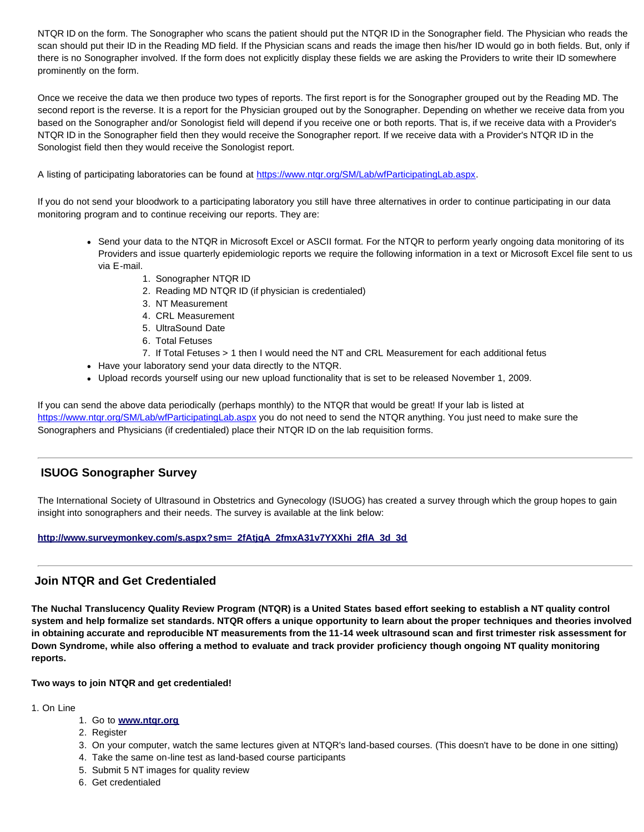NTQR ID on the form. The Sonographer who scans the patient should put the NTQR ID in the Sonographer field. The Physician who reads the scan should put their ID in the Reading MD field. If the Physician scans and reads the image then his/her ID would go in both fields. But, only if there is no Sonographer involved. If the form does not explicitly display these fields we are asking the Providers to write their ID somewhere prominently on the form.

Once we receive the data we then produce two types of reports. The first report is for the Sonographer grouped out by the Reading MD. The second report is the reverse. It is a report for the Physician grouped out by the Sonographer. Depending on whether we receive data from you based on the Sonographer and/or Sonologist field will depend if you receive one or both reports. That is, if we receive data with a Provider's NTQR ID in the Sonographer field then they would receive the Sonographer report. If we receive data with a Provider's NTQR ID in the Sonologist field then they would receive the Sonologist report.

A listing of participating laboratories can be found at<https://www.ntqr.org/SM/Lab/wfParticipatingLab.aspx>.

If you do not send your bloodwork to a participating laboratory you still have three alternatives in order to continue participating in our data monitoring program and to continue receiving our reports. They are:

- Send your data to the NTQR in Microsoft Excel or ASCII format. For the NTQR to perform yearly ongoing data monitoring of its Providers and issue quarterly epidemiologic reports we require the following information in a text or Microsoft Excel file sent to us via E-mail.
	- 1. Sonographer NTQR ID
	- 2. Reading MD NTQR ID (if physician is credentialed)
	- 3. NT Measurement
	- 4. CRL Measurement
	- 5. UltraSound Date
	- 6. Total Fetuses
	- 7. If Total Fetuses > 1 then I would need the NT and CRL Measurement for each additional fetus
- Have your laboratory send your data directly to the NTQR.
- Upload records yourself using our new upload functionality that is set to be released November 1, 2009.

If you can send the above data periodically (perhaps monthly) to the NTQR that would be great! If your lab is listed at <https://www.ntqr.org/SM/Lab/wfParticipatingLab.aspx> you do not need to send the NTQR anything. You just need to make sure the Sonographers and Physicians (if credentialed) place their NTQR ID on the lab requisition forms.

## <span id="page-6-0"></span>**ISUOG Sonographer Survey**

The International Society of Ultrasound in Obstetrics and Gynecology (ISUOG) has created a survey through which the group hopes to gain insight into sonographers and their needs. The survey is available at the link below:

#### **[http://www.surveymonkey.com/s.aspx?sm=\\_2fAtjqA\\_2fmxA31v7YXXhi\\_2flA\\_3d\\_3d](http://www.surveymonkey.com/s.aspx?sm=_2fAtjqA_2fmxA31v7YXXhi_2flA_3d_3d)**

## <span id="page-6-1"></span>**Join NTQR and Get Credentialed**

**The Nuchal Translucency Quality Review Program (NTQR) is a United States based effort seeking to establish a NT quality control system and help formalize set standards. NTQR offers a unique opportunity to learn about the proper techniques and theories involved in obtaining accurate and reproducible NT measurements from the 11-14 week ultrasound scan and first trimester risk assessment for Down Syndrome, while also offering a method to evaluate and track provider proficiency though ongoing NT quality monitoring reports.** 

**Two ways to join NTQR and get credentialed!** 

#### 1. On Line

#### 1. Go to **[www.ntqr.org](http://www.ntqr.org/)**

- 2. Register
- 3. On your computer, watch the same lectures given at NTQR's land-based courses. (This doesn't have to be done in one sitting)
- 4. Take the same on-line test as land-based course participants
- 5. Submit 5 NT images for quality review
- 6. Get credentialed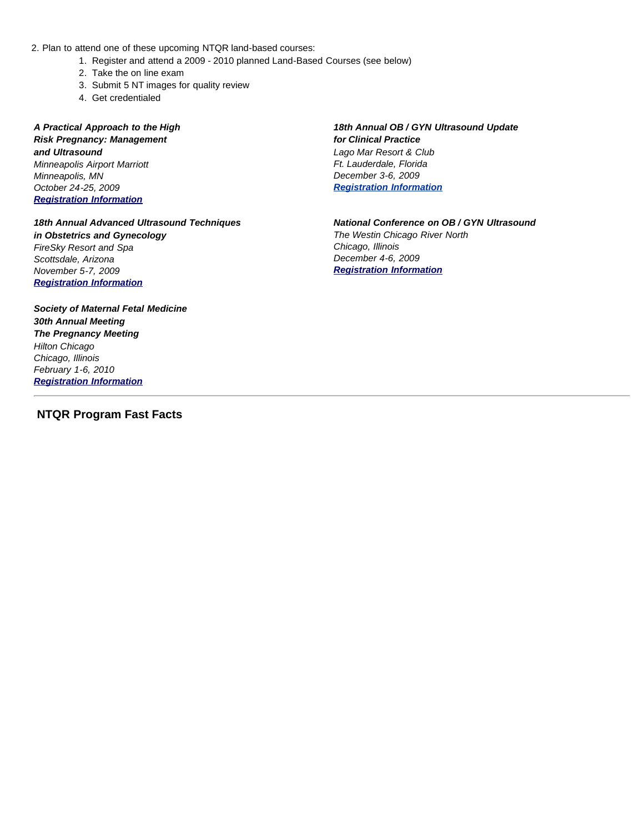- 2. Plan to attend one of these upcoming NTQR land-based courses:
	- 1. Register and attend a 2009 2010 planned Land-Based Courses (see below)
	- 2. Take the on line exam
	- 3. Submit 5 NT images for quality review
	- 4. Get credentialed

*A Practical Approach to the High Risk Pregnancy: Management and Ultrasound Minneapolis Airport Marriott Minneapolis, MN October 24-25, 2009 [Registration Information](http://www.allina.com/ac/events.nsf/GetEvents/A_Practical_Approach_to_High_Risk_Pregnancy_(Bloomington_Minnesota)1024)*

*18th Annual Advanced Ultrasound Techniques in Obstetrics and Gynecology FireSky Resort and Spa Scottsdale, Arizona November 5-7, 2009 [Registration Information](mailto://barbara_shaw@pediatrix.com/)*

*Society of Maternal Fetal Medicine 30th Annual Meeting The Pregnancy Meeting Hilton Chicago Chicago, Illinois February 1-6, 2010 [Registration Information](http://www.smfm.org/)*

### <span id="page-7-0"></span> **NTQR Program Fast Facts**

*18th Annual OB / GYN Ultrasound Update for Clinical Practice Lago Mar Resort & Club Ft. Lauderdale, Florida December 3-6, 2009 [Registration Information](http://www.meetingpro.info/plaza/registrants/GoHo09/GoHo09.htm)*

*National Conference on OB / GYN Ultrasound The Westin Chicago River North Chicago, Illinois December 4-6, 2009 [Registration Information](http://www.iame.com/courses/ob1209/ob.html)*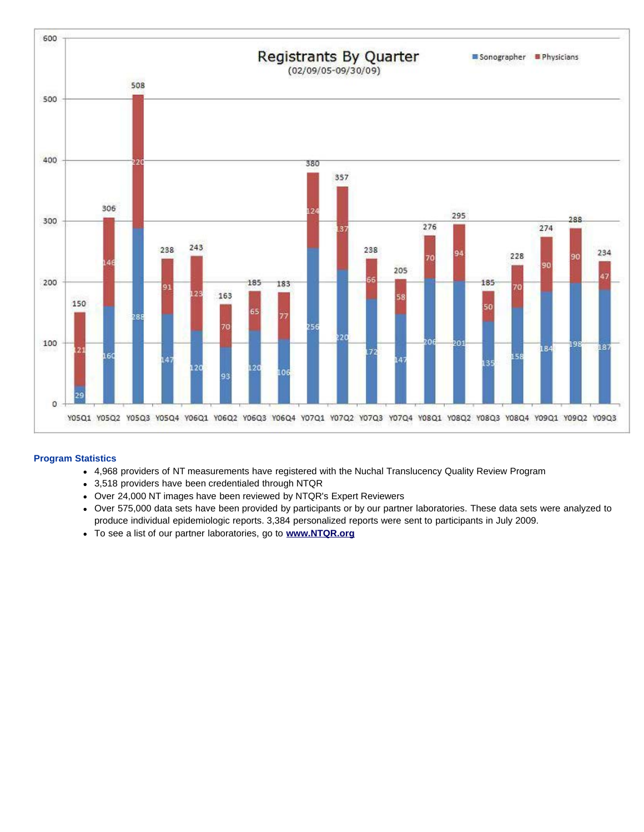

#### **Program Statistics**

- 4,968 providers of NT measurements have registered with the Nuchal Translucency Quality Review Program
- 3,518 providers have been credentialed through NTQR
- Over 24,000 NT images have been reviewed by NTQR's Expert Reviewers
- Over 575,000 data sets have been provided by participants or by our partner laboratories. These data sets were analyzed to produce individual epidemiologic reports. 3,384 personalized reports were sent to participants in July 2009.
- To see a list of our partner laboratories, go to **[www.NTQR.org](http://www.ntqr.org/)**